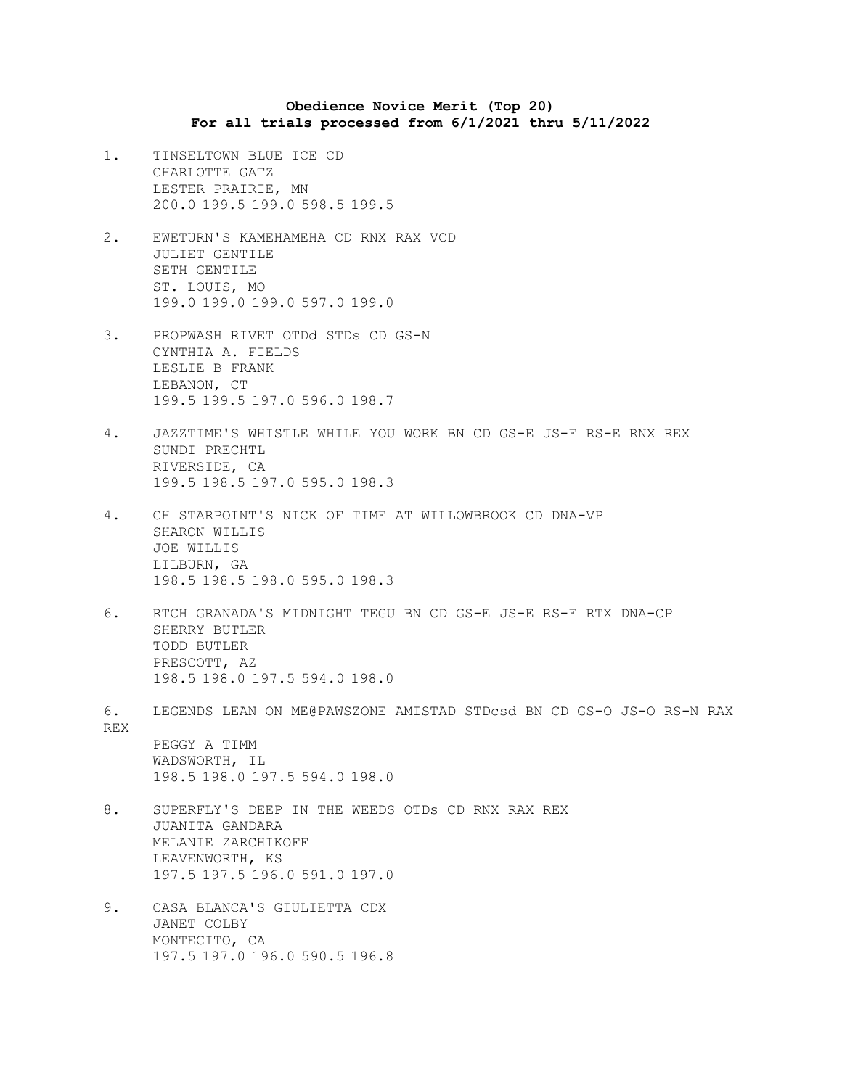**Obedience Novice Merit (Top 20) For all trials processed from 6/1/2021 thru 5/11/2022**

- 1. TINSELTOWN BLUE ICE CD CHARLOTTE GATZ LESTER PRAIRIE, MN 200.0 199.5 199.0 598.5 199.5
- 2. EWETURN'S KAMEHAMEHA CD RNX RAX VCD JULIET GENTILE SETH GENTILE ST. LOUIS, MO 199.0 199.0 199.0 597.0 199.0
- 3. PROPWASH RIVET OTDd STDs CD GS-N CYNTHIA A. FIELDS LESLIE B FRANK LEBANON, CT 199.5 199.5 197.0 596.0 198.7
- 4. JAZZTIME'S WHISTLE WHILE YOU WORK BN CD GS-E JS-E RS-E RNX REX SUNDI PRECHTL RIVERSIDE, CA 199.5 198.5 197.0 595.0 198.3
- 4. CH STARPOINT'S NICK OF TIME AT WILLOWBROOK CD DNA-VP SHARON WILLIS JOE WILLIS LILBURN, GA 198.5 198.5 198.0 595.0 198.3
- 6. RTCH GRANADA'S MIDNIGHT TEGU BN CD GS-E JS-E RS-E RTX DNA-CP SHERRY BUTLER TODD BUTLER PRESCOTT, AZ 198.5 198.0 197.5 594.0 198.0
- 6. LEGENDS LEAN ON ME@PAWSZONE AMISTAD STDcsd BN CD GS-O JS-O RS-N RAX REX

PEGGY A TIMM WADSWORTH, IL 198.5 198.0 197.5 594.0 198.0

- 8. SUPERFLY'S DEEP IN THE WEEDS OTDs CD RNX RAX REX JUANITA GANDARA MELANIE ZARCHIKOFF LEAVENWORTH, KS 197.5 197.5 196.0 591.0 197.0
- 9. CASA BLANCA'S GIULIETTA CDX JANET COLBY MONTECITO, CA 197.5 197.0 196.0 590.5 196.8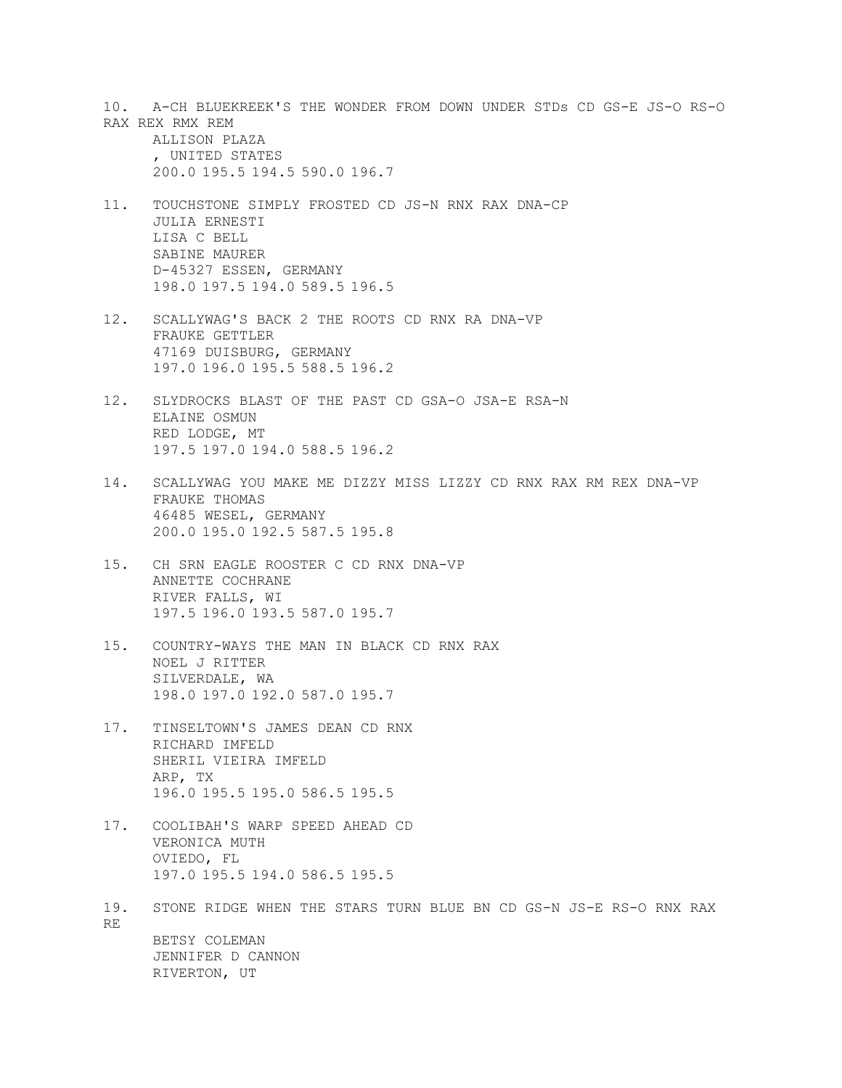10. A-CH BLUEKREEK'S THE WONDER FROM DOWN UNDER STDs CD GS-E JS-O RS-O RAX REX RMX REM

ALLISON PLAZA , UNITED STATES 200.0 195.5 194.5 590.0 196.7

- 11. TOUCHSTONE SIMPLY FROSTED CD JS-N RNX RAX DNA-CP JULIA ERNESTI LISA C BELL SABINE MAURER D-45327 ESSEN, GERMANY 198.0 197.5 194.0 589.5 196.5
- 12. SCALLYWAG'S BACK 2 THE ROOTS CD RNX RA DNA-VP FRAUKE GETTLER 47169 DUISBURG, GERMANY 197.0 196.0 195.5 588.5 196.2
- 12. SLYDROCKS BLAST OF THE PAST CD GSA-O JSA-E RSA-N ELAINE OSMUN RED LODGE, MT 197.5 197.0 194.0 588.5 196.2
- 14. SCALLYWAG YOU MAKE ME DIZZY MISS LIZZY CD RNX RAX RM REX DNA-VP FRAUKE THOMAS 46485 WESEL, GERMANY 200.0 195.0 192.5 587.5 195.8
- 15. CH SRN EAGLE ROOSTER C CD RNX DNA-VP ANNETTE COCHRANE RIVER FALLS, WI 197.5 196.0 193.5 587.0 195.7
- 15. COUNTRY-WAYS THE MAN IN BLACK CD RNX RAX NOEL J RITTER SILVERDALE, WA 198.0 197.0 192.0 587.0 195.7
- 17. TINSELTOWN'S JAMES DEAN CD RNX RICHARD IMFELD SHERIL VIEIRA IMFELD ARP, TX 196.0 195.5 195.0 586.5 195.5
- 17. COOLIBAH'S WARP SPEED AHEAD CD VERONICA MUTH OVIEDO, FL 197.0 195.5 194.0 586.5 195.5
- 19. STONE RIDGE WHEN THE STARS TURN BLUE BN CD GS-N JS-E RS-O RNX RAX RE BETSY COLEMAN JENNIFER D CANNON RIVERTON, UT